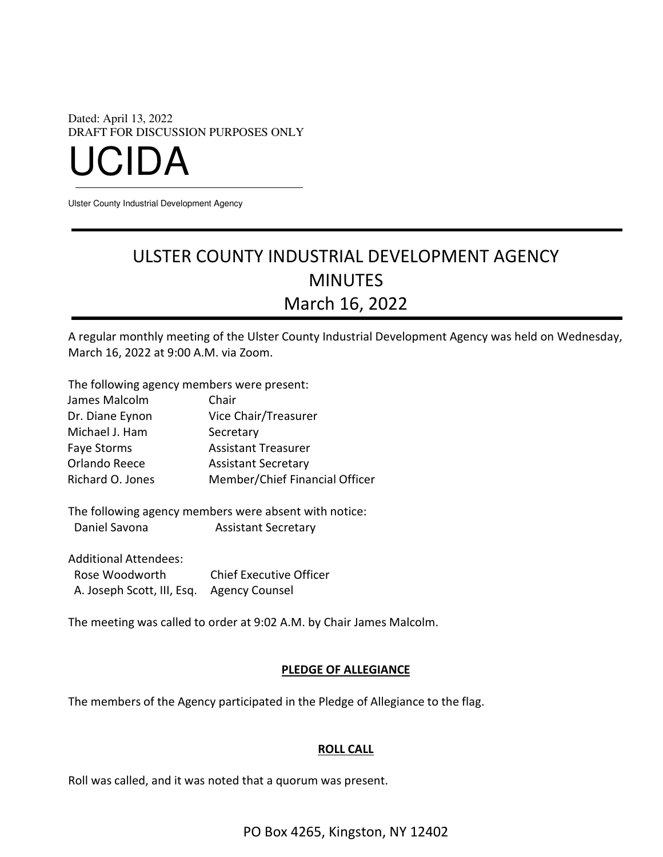Dated: April 13, 2022 DRAFT FOR DISCUSSION PURPOSES ONLY UCIDA

Ulster County Industrial Development Agency

# ULSTER COUNTY INDUSTRIAL DEVELOPMENT AGENCY MINUTES March 16, 2022

A regular monthly meeting of the Ulster County Industrial Development Agency was held on Wednesday, March 16, 2022 at 9:00 A.M. via Zoom.

The following agency members were present:

| James Malcolm    | Chair                          |
|------------------|--------------------------------|
| Dr. Diane Eynon  | Vice Chair/Treasurer           |
| Michael J. Ham   | Secretary                      |
| Faye Storms      | <b>Assistant Treasurer</b>     |
| Orlando Reece    | <b>Assistant Secretary</b>     |
| Richard O. Jones | Member/Chief Financial Officer |

The following agency members were absent with notice: Daniel Savona **Assistant Secretary** 

| <b>Additional Attendees:</b>              |                                |
|-------------------------------------------|--------------------------------|
| Rose Woodworth                            | <b>Chief Executive Officer</b> |
| A. Joseph Scott, III, Esq. Agency Counsel |                                |

The meeting was called to order at 9:02 A.M. by Chair James Malcolm.

#### PLEDGE OF ALLEGIANCE

The members of the Agency participated in the Pledge of Allegiance to the flag.

## ROLL CALL

Roll was called, and it was noted that a quorum was present.

PO Box 4265, Kingston, NY 12402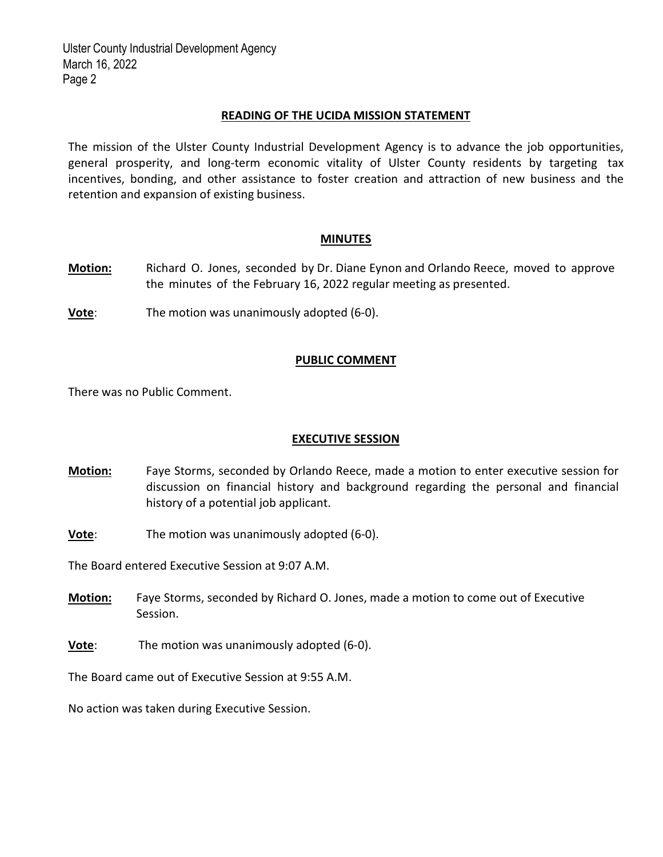## READING OF THE UCIDA MISSION STATEMENT

The mission of the Ulster County Industrial Development Agency is to advance the job opportunities, general prosperity, and long‐term economic vitality of Ulster County residents by targeting tax incentives, bonding, and other assistance to foster creation and attraction of new business and the retention and expansion of existing business.

#### MINUTES

- Motion: Richard O. Jones, seconded by Dr. Diane Eynon and Orlando Reece, moved to approve the minutes of the February 16, 2022 regular meeting as presented.
- **Vote:** The motion was unanimously adopted (6-0).

## PUBLIC COMMENT

There was no Public Comment.

#### EXECUTIVE SESSION

- Motion: Faye Storms, seconded by Orlando Reece, made a motion to enter executive session for discussion on financial history and background regarding the personal and financial history of a potential job applicant.
- **Vote:** The motion was unanimously adopted (6-0).

The Board entered Executive Session at 9:07 A.M.

- **Motion:** Faye Storms, seconded by Richard O. Jones, made a motion to come out of Executive Session.
- Vote: The motion was unanimously adopted (6‐0).

The Board came out of Executive Session at 9:55 A.M.

No action was taken during Executive Session.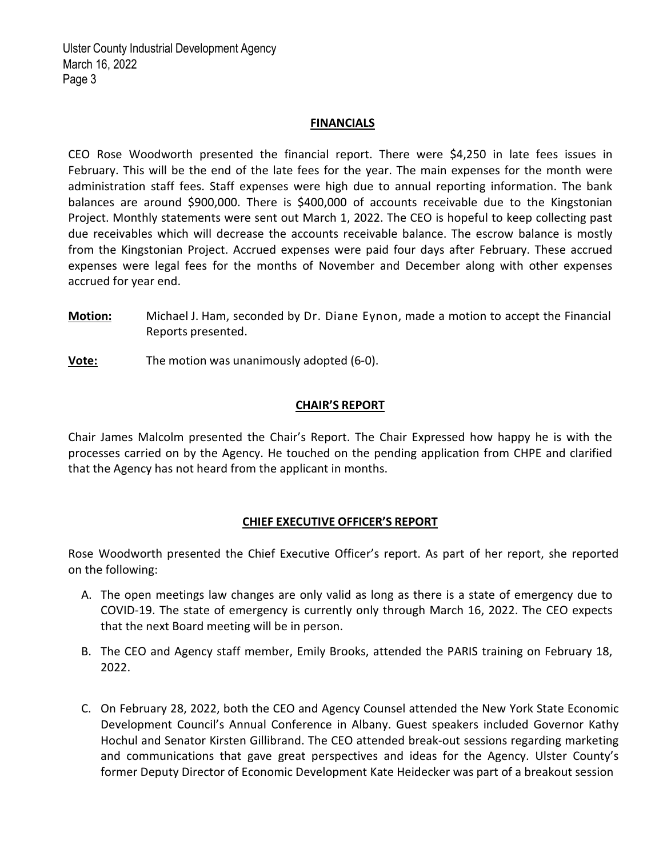## **FINANCIALS**

CEO Rose Woodworth presented the financial report. There were \$4,250 in late fees issues in February. This will be the end of the late fees for the year. The main expenses for the month were administration staff fees. Staff expenses were high due to annual reporting information. The bank balances are around \$900,000. There is \$400,000 of accounts receivable due to the Kingstonian Project. Monthly statements were sent out March 1, 2022. The CEO is hopeful to keep collecting past due receivables which will decrease the accounts receivable balance. The escrow balance is mostly from the Kingstonian Project. Accrued expenses were paid four days after February. These accrued expenses were legal fees for the months of November and December along with other expenses accrued for year end.

- Motion: Michael J. Ham, seconded by Dr. Diane Eynon, made a motion to accept the Financial Reports presented.
- Vote: The motion was unanimously adopted (6-0).

# CHAIR'S REPORT

Chair James Malcolm presented the Chair's Report. The Chair Expressed how happy he is with the processes carried on by the Agency. He touched on the pending application from CHPE and clarified that the Agency has not heard from the applicant in months.

# CHIEF EXECUTIVE OFFICER'S REPORT

Rose Woodworth presented the Chief Executive Officer's report. As part of her report, she reported on the following:

- A. The open meetings law changes are only valid as long as there is a state of emergency due to COVID‐19. The state of emergency is currently only through March 16, 2022. The CEO expects that the next Board meeting will be in person.
- B. The CEO and Agency staff member, Emily Brooks, attended the PARIS training on February 18, 2022.
- C. On February 28, 2022, both the CEO and Agency Counsel attended the New York State Economic Development Council's Annual Conference in Albany. Guest speakers included Governor Kathy Hochul and Senator Kirsten Gillibrand. The CEO attended break‐out sessions regarding marketing and communications that gave great perspectives and ideas for the Agency. Ulster County's former Deputy Director of Economic Development Kate Heidecker was part of a breakout session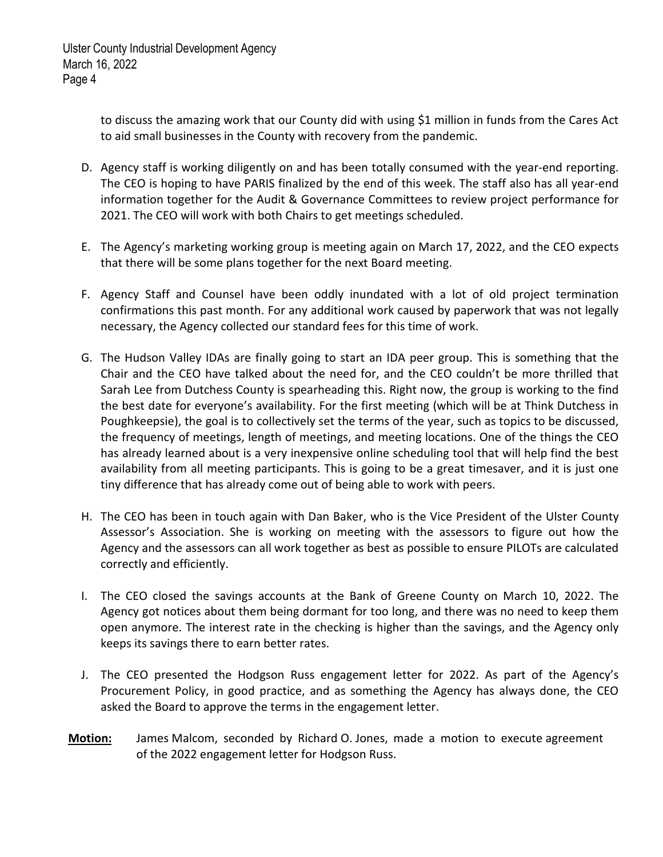to discuss the amazing work that our County did with using \$1 million in funds from the Cares Act to aid small businesses in the County with recovery from the pandemic.

- D. Agency staff is working diligently on and has been totally consumed with the year-end reporting. The CEO is hoping to have PARIS finalized by the end of this week. The staff also has all year‐end information together for the Audit & Governance Committees to review project performance for 2021. The CEO will work with both Chairs to get meetings scheduled.
- E. The Agency's marketing working group is meeting again on March 17, 2022, and the CEO expects that there will be some plans together for the next Board meeting.
- F. Agency Staff and Counsel have been oddly inundated with a lot of old project termination confirmations this past month. For any additional work caused by paperwork that was not legally necessary, the Agency collected our standard fees for this time of work.
- G. The Hudson Valley IDAs are finally going to start an IDA peer group. This is something that the Chair and the CEO have talked about the need for, and the CEO couldn't be more thrilled that Sarah Lee from Dutchess County is spearheading this. Right now, the group is working to the find the best date for everyone's availability. For the first meeting (which will be at Think Dutchess in Poughkeepsie), the goal is to collectively set the terms of the year, such as topics to be discussed, the frequency of meetings, length of meetings, and meeting locations. One of the things the CEO has already learned about is a very inexpensive online scheduling tool that will help find the best availability from all meeting participants. This is going to be a great timesaver, and it is just one tiny difference that has already come out of being able to work with peers.
- H. The CEO has been in touch again with Dan Baker, who is the Vice President of the Ulster County Assessor's Association. She is working on meeting with the assessors to figure out how the Agency and the assessors can all work together as best as possible to ensure PILOTs are calculated correctly and efficiently.
- I. The CEO closed the savings accounts at the Bank of Greene County on March 10, 2022. The Agency got notices about them being dormant for too long, and there was no need to keep them open anymore. The interest rate in the checking is higher than the savings, and the Agency only keeps its savings there to earn better rates.
- J. The CEO presented the Hodgson Russ engagement letter for 2022. As part of the Agency's Procurement Policy, in good practice, and as something the Agency has always done, the CEO asked the Board to approve the terms in the engagement letter.
- Motion: James Malcom, seconded by Richard O. Jones, made a motion to execute agreement of the 2022 engagement letter for Hodgson Russ.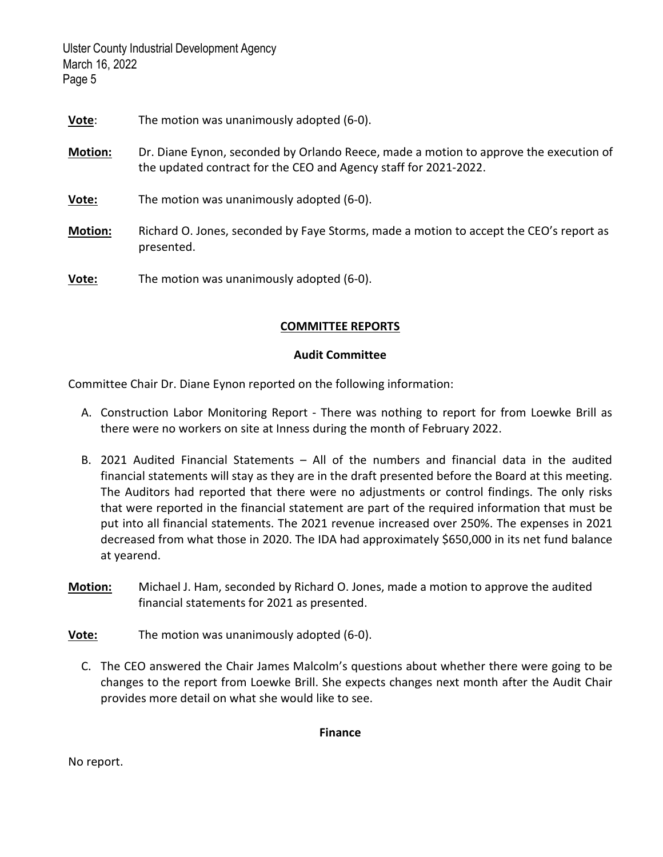| Vote:          | The motion was unanimously adopted (6-0).                                                                                                                 |
|----------------|-----------------------------------------------------------------------------------------------------------------------------------------------------------|
| <b>Motion:</b> | Dr. Diane Eynon, seconded by Orlando Reece, made a motion to approve the execution of<br>the updated contract for the CEO and Agency staff for 2021-2022. |
| Vote:          | The motion was unanimously adopted (6-0).                                                                                                                 |
| <b>Motion:</b> | Richard O. Jones, seconded by Faye Storms, made a motion to accept the CEO's report as<br>presented.                                                      |
| Vote:          | The motion was unanimously adopted (6-0).                                                                                                                 |

# COMMITTEE REPORTS

## Audit Committee

Committee Chair Dr. Diane Eynon reported on the following information:

- A. Construction Labor Monitoring Report ‐ There was nothing to report for from Loewke Brill as there were no workers on site at Inness during the month of February 2022.
- B. 2021 Audited Financial Statements All of the numbers and financial data in the audited financial statements will stay as they are in the draft presented before the Board at this meeting. The Auditors had reported that there were no adjustments or control findings. The only risks that were reported in the financial statement are part of the required information that must be put into all financial statements. The 2021 revenue increased over 250%. The expenses in 2021 decreased from what those in 2020. The IDA had approximately \$650,000 in its net fund balance at yearend.
- Motion: Michael J. Ham, seconded by Richard O. Jones, made a motion to approve the audited financial statements for 2021 as presented.
- Vote: The motion was unanimously adopted (6‐0).
	- C. The CEO answered the Chair James Malcolm's questions about whether there were going to be changes to the report from Loewke Brill. She expects changes next month after the Audit Chair provides more detail on what she would like to see.

Finance

No report.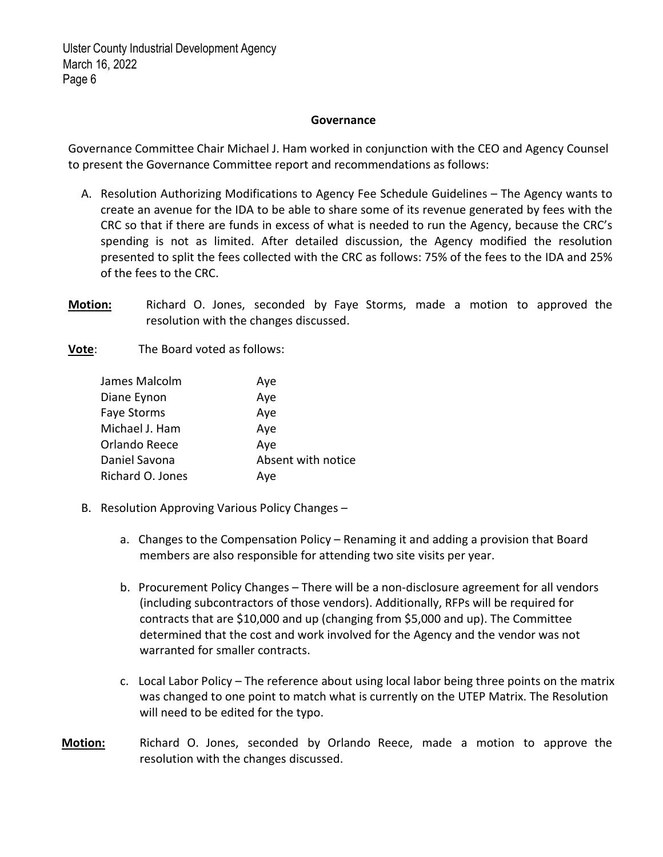#### **Governance**

Governance Committee Chair Michael J. Ham worked in conjunction with the CEO and Agency Counsel to present the Governance Committee report and recommendations as follows:

- A. Resolution Authorizing Modifications to Agency Fee Schedule Guidelines The Agency wants to create an avenue for the IDA to be able to share some of its revenue generated by fees with the CRC so that if there are funds in excess of what is needed to run the Agency, because the CRC's spending is not as limited. After detailed discussion, the Agency modified the resolution presented to split the fees collected with the CRC as follows: 75% of the fees to the IDA and 25% of the fees to the CRC.
- Motion: Richard O. Jones, seconded by Faye Storms, made a motion to approved the resolution with the changes discussed.

**Vote:** The Board voted as follows:

| James Malcolm      | Aye                |
|--------------------|--------------------|
| Diane Eynon        | Aye                |
| <b>Faye Storms</b> | Aye                |
| Michael J. Ham     | Aye                |
| Orlando Reece      | Aye                |
| Daniel Savona      | Absent with notice |
| Richard O. Jones   | Ave                |

- B. Resolution Approving Various Policy Changes
	- a. Changes to the Compensation Policy Renaming it and adding a provision that Board members are also responsible for attending two site visits per year.
	- b. Procurement Policy Changes There will be a non‐disclosure agreement for all vendors (including subcontractors of those vendors). Additionally, RFPs will be required for contracts that are \$10,000 and up (changing from \$5,000 and up). The Committee determined that the cost and work involved for the Agency and the vendor was not warranted for smaller contracts.
	- c. Local Labor Policy The reference about using local labor being three points on the matrix was changed to one point to match what is currently on the UTEP Matrix. The Resolution will need to be edited for the typo.
- Motion: Richard O. Jones, seconded by Orlando Reece, made a motion to approve the resolution with the changes discussed.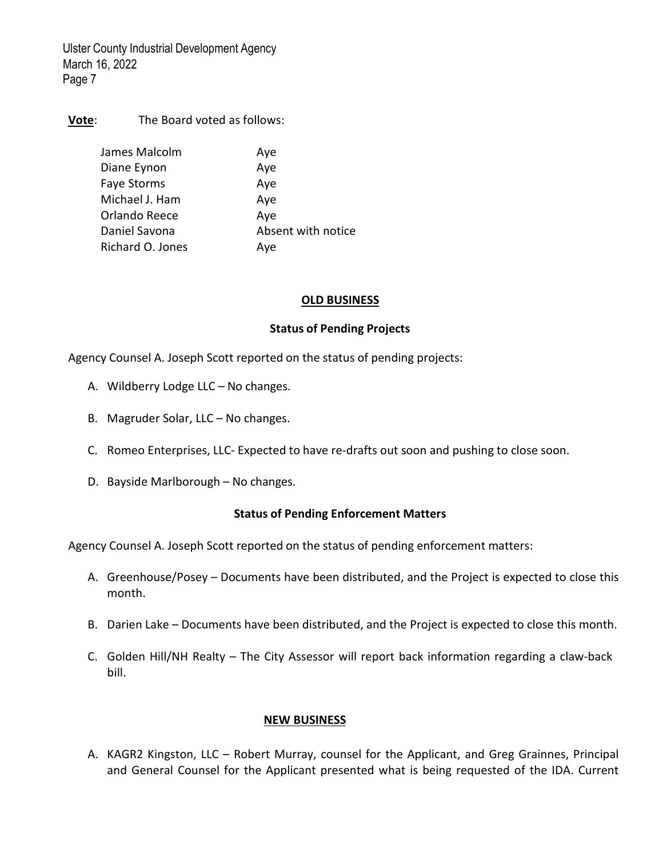Vote: The Board voted as follows:

| James Malcolm      | Aye                |
|--------------------|--------------------|
| Diane Eynon        | Aye                |
| <b>Faye Storms</b> | Aye                |
| Michael J. Ham     | Aye                |
| Orlando Reece      | Aye                |
| Daniel Savona      | Absent with notice |
| Richard O. Jones   | Aye                |

#### OLD BUSINESS

## Status of Pending Projects

Agency Counsel A. Joseph Scott reported on the status of pending projects:

- A. Wildberry Lodge LLC No changes.
- B. Magruder Solar, LLC No changes.
- C. Romeo Enterprises, LLC‐ Expected to have re‐drafts out soon and pushing to close soon.
- D. Bayside Marlborough No changes.

# Status of Pending Enforcement Matters

Agency Counsel A. Joseph Scott reported on the status of pending enforcement matters:

- A. Greenhouse/Posey Documents have been distributed, and the Project is expected to close this month.
- B. Darien Lake Documents have been distributed, and the Project is expected to close this month.
- C. Golden Hill/NH Realty The City Assessor will report back information regarding a claw‐back bill.

# NEW BUSINESS

A. KAGR2 Kingston, LLC – Robert Murray, counsel for the Applicant, and Greg Grainnes, Principal and General Counsel for the Applicant presented what is being requested of the IDA. Current